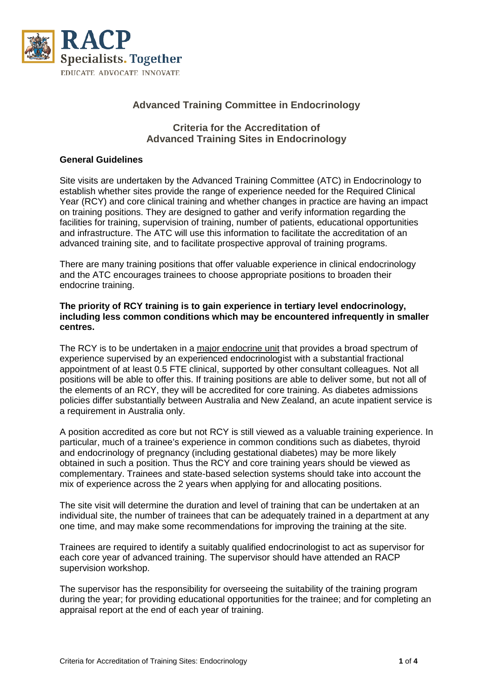

# **Advanced Training Committee in Endocrinology**

## **Criteria for the Accreditation of Advanced Training Sites in Endocrinology**

#### **General Guidelines**

Site visits are undertaken by the Advanced Training Committee (ATC) in Endocrinology to establish whether sites provide the range of experience needed for the Required Clinical Year (RCY) and core clinical training and whether changes in practice are having an impact on training positions. They are designed to gather and verify information regarding the facilities for training, supervision of training, number of patients, educational opportunities and infrastructure. The ATC will use this information to facilitate the accreditation of an advanced training site, and to facilitate prospective approval of training programs.

There are many training positions that offer valuable experience in clinical endocrinology and the ATC encourages trainees to choose appropriate positions to broaden their endocrine training.

#### **The priority of RCY training is to gain experience in tertiary level endocrinology, including less common conditions which may be encountered infrequently in smaller centres.**

The RCY is to be undertaken in a major endocrine unit that provides a broad spectrum of experience supervised by an experienced endocrinologist with a substantial fractional appointment of at least 0.5 FTE clinical, supported by other consultant colleagues. Not all positions will be able to offer this. If training positions are able to deliver some, but not all of the elements of an RCY, they will be accredited for core training. As diabetes admissions policies differ substantially between Australia and New Zealand, an acute inpatient service is a requirement in Australia only.

A position accredited as core but not RCY is still viewed as a valuable training experience. In particular, much of a trainee's experience in common conditions such as diabetes, thyroid and endocrinology of pregnancy (including gestational diabetes) may be more likely obtained in such a position. Thus the RCY and core training years should be viewed as complementary. Trainees and state-based selection systems should take into account the mix of experience across the 2 years when applying for and allocating positions.

The site visit will determine the duration and level of training that can be undertaken at an individual site, the number of trainees that can be adequately trained in a department at any one time, and may make some recommendations for improving the training at the site.

Trainees are required to identify a suitably qualified endocrinologist to act as supervisor for each core year of advanced training. The supervisor should have attended an RACP supervision workshop.

The supervisor has the responsibility for overseeing the suitability of the training program during the year; for providing educational opportunities for the trainee; and for completing an appraisal report at the end of each year of training.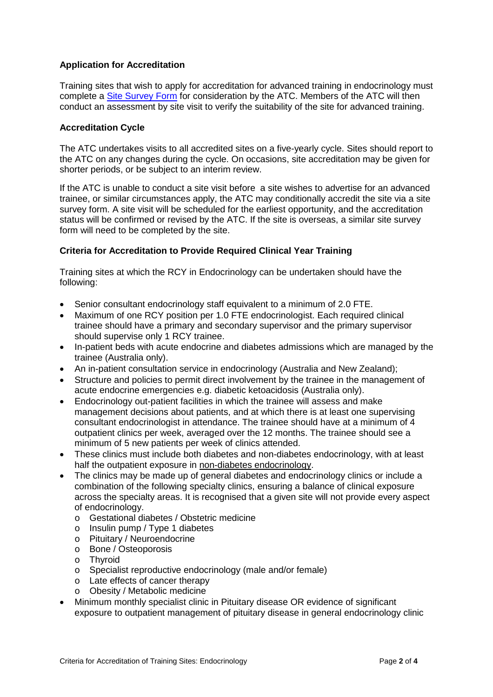## **Application for Accreditation**

Training sites that wish to apply for accreditation for advanced training in endocrinology must complete a [Site Survey Form](https://www.racp.edu.au/docs/default-source/default-document-library/endocrinology-site-survey.docx?sfvrsn=0) for consideration by the ATC. Members of the ATC will then conduct an assessment by site visit to verify the suitability of the site for advanced training.

#### **Accreditation Cycle**

The ATC undertakes visits to all accredited sites on a five-yearly cycle. Sites should report to the ATC on any changes during the cycle. On occasions, site accreditation may be given for shorter periods, or be subject to an interim review.

If the ATC is unable to conduct a site visit before a site wishes to advertise for an advanced trainee, or similar circumstances apply, the ATC may conditionally accredit the site via a site survey form. A site visit will be scheduled for the earliest opportunity, and the accreditation status will be confirmed or revised by the ATC. If the site is overseas, a similar site survey form will need to be completed by the site.

### **Criteria for Accreditation to Provide Required Clinical Year Training**

Training sites at which the RCY in Endocrinology can be undertaken should have the following:

- Senior consultant endocrinology staff equivalent to a minimum of 2.0 FTE.
- Maximum of one RCY position per 1.0 FTE endocrinologist. Each required clinical trainee should have a primary and secondary supervisor and the primary supervisor should supervise only 1 RCY trainee.
- In-patient beds with acute endocrine and diabetes admissions which are managed by the trainee (Australia only).
- An in-patient consultation service in endocrinology (Australia and New Zealand);
- Structure and policies to permit direct involvement by the trainee in the management of acute endocrine emergencies e.g. diabetic ketoacidosis (Australia only).
- Endocrinology out-patient facilities in which the trainee will assess and make management decisions about patients, and at which there is at least one supervising consultant endocrinologist in attendance. The trainee should have at a minimum of 4 outpatient clinics per week, averaged over the 12 months. The trainee should see a minimum of 5 new patients per week of clinics attended.
- These clinics must include both diabetes and non-diabetes endocrinology, with at least half the outpatient exposure in non-diabetes endocrinology.
- The clinics may be made up of general diabetes and endocrinology clinics or include a combination of the following specialty clinics, ensuring a balance of clinical exposure across the specialty areas. It is recognised that a given site will not provide every aspect of endocrinology.
	- o Gestational diabetes / Obstetric medicine
	- o Insulin pump / Type 1 diabetes
	- o Pituitary / Neuroendocrine
	- o Bone / Osteoporosis
	- o Thyroid
	- o Specialist reproductive endocrinology (male and/or female)<br>
	o Late effects of cancer therapy
	- Late effects of cancer therapy
	- o Obesity / Metabolic medicine
- Minimum monthly specialist clinic in Pituitary disease OR evidence of significant exposure to outpatient management of pituitary disease in general endocrinology clinic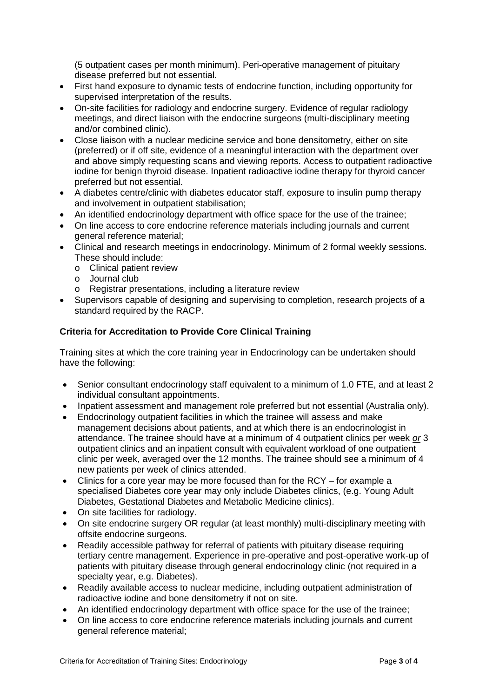(5 outpatient cases per month minimum). Peri-operative management of pituitary disease preferred but not essential.

- First hand exposure to dynamic tests of endocrine function, including opportunity for supervised interpretation of the results.
- On-site facilities for radiology and endocrine surgery. Evidence of regular radiology meetings, and direct liaison with the endocrine surgeons (multi-disciplinary meeting and/or combined clinic).
- Close liaison with a nuclear medicine service and bone densitometry, either on site (preferred) or if off site, evidence of a meaningful interaction with the department over and above simply requesting scans and viewing reports. Access to outpatient radioactive iodine for benign thyroid disease. Inpatient radioactive iodine therapy for thyroid cancer preferred but not essential.
- A diabetes centre/clinic with diabetes educator staff, exposure to insulin pump therapy and involvement in outpatient stabilisation;
- An identified endocrinology department with office space for the use of the trainee;
- On line access to core endocrine reference materials including journals and current general reference material;
- Clinical and research meetings in endocrinology. Minimum of 2 formal weekly sessions. These should include:
	- o Clinical patient review
	- o Journal club
	- o Registrar presentations, including a literature review
- Supervisors capable of designing and supervising to completion, research projects of a standard required by the RACP.

## **Criteria for Accreditation to Provide Core Clinical Training**

Training sites at which the core training year in Endocrinology can be undertaken should have the following:

- Senior consultant endocrinology staff equivalent to a minimum of 1.0 FTE, and at least 2 individual consultant appointments.
- Inpatient assessment and management role preferred but not essential (Australia only).
- Endocrinology outpatient facilities in which the trainee will assess and make management decisions about patients, and at which there is an endocrinologist in attendance. The trainee should have at a minimum of 4 outpatient clinics per week *or* 3 outpatient clinics and an inpatient consult with equivalent workload of one outpatient clinic per week, averaged over the 12 months. The trainee should see a minimum of 4 new patients per week of clinics attended.
- Clinics for a core year may be more focused than for the RCY for example a specialised Diabetes core year may only include Diabetes clinics, (e.g. Young Adult Diabetes, Gestational Diabetes and Metabolic Medicine clinics).
- On site facilities for radiology.
- On site endocrine surgery OR regular (at least monthly) multi-disciplinary meeting with offsite endocrine surgeons.
- Readily accessible pathway for referral of patients with pituitary disease requiring tertiary centre management. Experience in pre-operative and post-operative work-up of patients with pituitary disease through general endocrinology clinic (not required in a specialty year, e.g. Diabetes).
- Readily available access to nuclear medicine, including outpatient administration of radioactive iodine and bone densitometry if not on site.
- An identified endocrinology department with office space for the use of the trainee;
- On line access to core endocrine reference materials including journals and current general reference material;